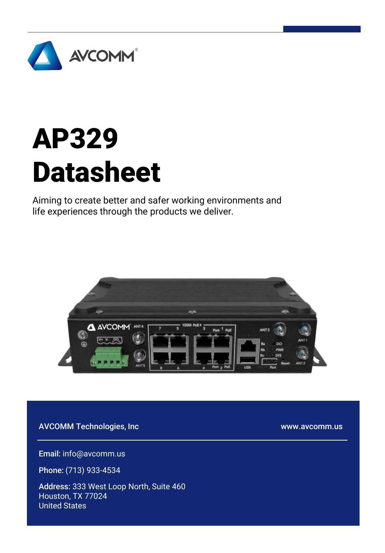

# AP329 Datasheet

Aiming to create better and safer working environments and life experiences through the products we deliver.



AVCOMM Technologies, Inc

www.avcomm.us

Email: info@avcomm.us

Phone: (713) 933-4534

Address: 333 West Loop North, Suite 460 Houston, TX 77024 United States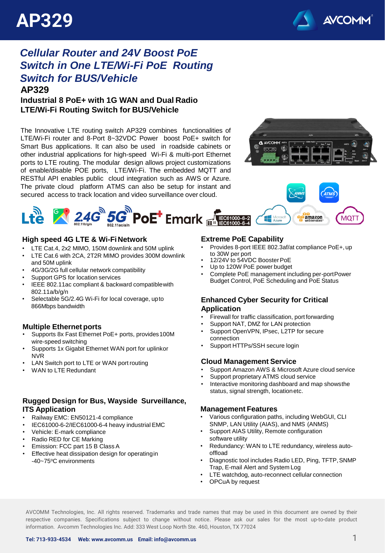

#### **AP329** *Cellular Router and 24V Boost PoE Switch in One LTE/Wi-Fi PoE Routing Switch for BUS/Vehicle*

#### **Industrial 8 PoE+ with 1G WAN and Dual Radio LTE/Wi-Fi Routing Switch for BUS/Vehicle**

The Innovative LTE routing switch AP329 combines functionalities of LTE/Wi-Fi router and 8-Port 8~32VDC Power boost PoE+ switch for Smart Bus applications. It can also be used in roadside cabinets or other industrial applications for high-speed Wi-Fi & multi-port Ethernet ports to LTE routing. The modular design allows project customizations of enable/disable POE ports, LTE/Wi-Fi. The embedded MQTT and RESTful API enables public cloud integration such as AWS or Azure. The private cloud platform ATMS can also be setup for instant and secured access to track location and video surveillance over cloud.



amazon

**MOT** 



#### **High speed 4G LTE & Wi-FiNetwork**

- LTE Cat.4, 2x2 MIMO, 150M downlink and 50M uplink
- LTE Cat.6 with 2CA, 2T2R MIMO provides 300M downlink and 50M uplink
- 4G/3G/2G full cellular network compatibility
- Support GPS for location services
- IEEE 802.11ac compliant & backward compatible with 802.11a/b/g/n
- Selectable 5G/2.4G Wi-Fi for local coverage, upto 866Mbps bandwidth

#### **Multiple Ethernet ports**

- Supports 8x Fast Ethernet PoE+ ports, provides 100M wire-speed switching
- Supports 1x Gigabit Ethernet WAN port for uplinkor NVR
- LAN Switch port to LTE or WAN port routing
- WAN to LTE Redundant

#### **Rugged Design for Bus, Wayside Surveillance, ITS Application**

- Railway EMC: EN50121-4 compliance
- IEC61000-6-2/IEC61000-6-4 heavy industrial EMC
- Vehicle: E-mark compliance
- Radio RED for CE Marking
- Emission: FCC part 15 B Class A
- Effective heat dissipation design for operating in -40~75°C environments

#### **Extreme PoE Capability**

- Provides 8-port IEEE 802.3af/at compliance PoE+, up to 30W per port
- 12/24V to 54VDC Booster PoE
- Up to 120W PoE power budget
- Complete PoE management including per-portPower Budget Control, PoE Scheduling and PoE Status

#### **Enhanced Cyber Security for Critical Application**

- Firewall for traffic classification, port forwarding
- Support NAT, DMZ for LAN protection
- Support OpenVPN, IPsec, L2TP for secure connection
- Support HTTPs/SSH secure login

#### **Cloud Management Service**

- Support Amazon AWS & Microsoft Azure cloud service
- Support proprietary ATMS cloud service
- Interactive monitoring dashboard and map showsthe status, signal strength, locationetc.

#### **Management Features**

- Various configuration paths, including WebGUI, CLI SNMP, LAN Utility (AIAS), and NMS (ANMS)
- Support AIAS Utility, Remote configuration software utility
- Redundancy: WAN to LTE redundancy, wireless autooffload
- Diagnostic tool includes Radio LED, Ping, TFTP,SNMP Trap, E-mail Alert and System Log
- LTE watchdog, auto-reconnect cellular connection
- OPCuA by request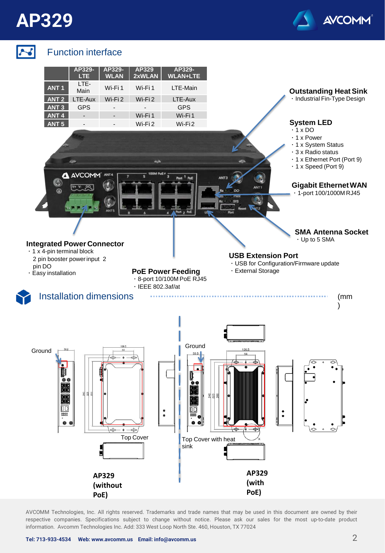

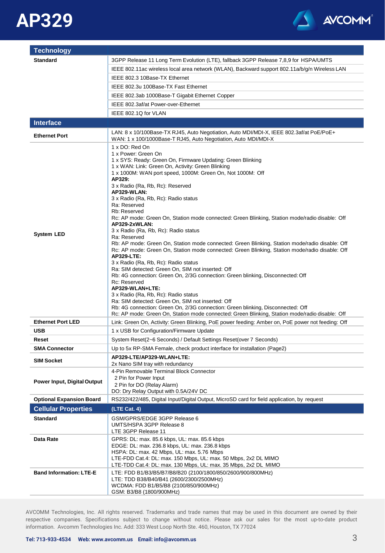



| <b>Technology</b>                  |                                                                                                                                                                                                                                                                                                                                                                                                                                                                                                                                                                                                                                                                                                                                                                                                                                                                                                                                                                                                                                                                                                                                                                                                                                                                       |
|------------------------------------|-----------------------------------------------------------------------------------------------------------------------------------------------------------------------------------------------------------------------------------------------------------------------------------------------------------------------------------------------------------------------------------------------------------------------------------------------------------------------------------------------------------------------------------------------------------------------------------------------------------------------------------------------------------------------------------------------------------------------------------------------------------------------------------------------------------------------------------------------------------------------------------------------------------------------------------------------------------------------------------------------------------------------------------------------------------------------------------------------------------------------------------------------------------------------------------------------------------------------------------------------------------------------|
| <b>Standard</b>                    | 3GPP Release 11 Long Term Evolution (LTE), fallback 3GPP Release 7,8,9 for HSPA/UMTS                                                                                                                                                                                                                                                                                                                                                                                                                                                                                                                                                                                                                                                                                                                                                                                                                                                                                                                                                                                                                                                                                                                                                                                  |
|                                    | IEEE 802.11ac wireless local area network (WLAN), Backward support 802.11a/b/g/n Wireless LAN                                                                                                                                                                                                                                                                                                                                                                                                                                                                                                                                                                                                                                                                                                                                                                                                                                                                                                                                                                                                                                                                                                                                                                         |
|                                    | IEEE 802.3 10Base-TX Ethernet                                                                                                                                                                                                                                                                                                                                                                                                                                                                                                                                                                                                                                                                                                                                                                                                                                                                                                                                                                                                                                                                                                                                                                                                                                         |
|                                    | IEEE 802.3u 100Base-TX Fast Ethernet                                                                                                                                                                                                                                                                                                                                                                                                                                                                                                                                                                                                                                                                                                                                                                                                                                                                                                                                                                                                                                                                                                                                                                                                                                  |
|                                    | IEEE 802.3ab 1000Base-T Gigabit Ethernet Copper                                                                                                                                                                                                                                                                                                                                                                                                                                                                                                                                                                                                                                                                                                                                                                                                                                                                                                                                                                                                                                                                                                                                                                                                                       |
|                                    | IEEE 802.3af/at Power-over-Ethernet                                                                                                                                                                                                                                                                                                                                                                                                                                                                                                                                                                                                                                                                                                                                                                                                                                                                                                                                                                                                                                                                                                                                                                                                                                   |
|                                    | IEEE 802.1Q for VLAN                                                                                                                                                                                                                                                                                                                                                                                                                                                                                                                                                                                                                                                                                                                                                                                                                                                                                                                                                                                                                                                                                                                                                                                                                                                  |
| <b>Interface</b>                   |                                                                                                                                                                                                                                                                                                                                                                                                                                                                                                                                                                                                                                                                                                                                                                                                                                                                                                                                                                                                                                                                                                                                                                                                                                                                       |
| <b>Ethernet Port</b>               | LAN: 8 x 10/100Base-TX RJ45, Auto Negotiation, Auto MDI/MDI-X, IEEE 802.3af/at PoE/PoE+<br>WAN: 1 x 100/1000Base-T RJ45, Auto Negotiation, Auto MDI/MDI-X                                                                                                                                                                                                                                                                                                                                                                                                                                                                                                                                                                                                                                                                                                                                                                                                                                                                                                                                                                                                                                                                                                             |
| <b>System LED</b>                  | 1 x DO: Red On<br>1 x Power: Green On<br>1 x SYS: Ready: Green On, Firmware Updating: Green Blinking<br>1 x WAN: Link: Green On, Activity: Green Blinking<br>1 x 1000M: WAN port speed, 1000M: Green On, Not 1000M: Off<br>AP329:<br>3 x Radio (Ra, Rb, Rc): Reserved<br>AP329-WLAN:<br>3 x Radio (Ra, Rb, Rc): Radio status<br>Ra: Reserved<br>Rb: Reserved<br>Rc: AP mode: Green On, Station mode connected: Green Blinking, Station mode/radio disable: Off<br>AP329-2xWLAN:<br>3 x Radio (Ra, Rb, Rc): Radio status<br>Ra: Reserved<br>Rb: AP mode: Green On, Station mode connected: Green Blinking, Station mode/radio disable: Off<br>Rc: AP mode: Green On, Station mode connected: Green Blinking, Station mode/radio disable: Off<br><b>AP329-LTE:</b><br>3 x Radio (Ra, Rb, Rc): Radio status<br>Ra: SIM detected: Green On, SIM not inserted: Off<br>Rb: 4G connection: Green On, 2/3G connection: Green blinking, Disconnected: Off<br>Rc: Reserved<br>AP329-WLAN+LTE:<br>3 x Radio (Ra, Rb, Rc): Radio status<br>Ra: SIM detected: Green On, SIM not inserted: Off<br>Rb: 4G connection: Green On, 2/3G connection: Green blinking, Disconnected: Off<br>Rc: AP mode: Green On, Station mode connected: Green Blinking, Station mode/radio disable: Off |
| <b>Ethernet Port LED</b>           | Link: Green On, Activity: Green Blinking, PoE power feeding: Amber on, PoE power not feeding: Off                                                                                                                                                                                                                                                                                                                                                                                                                                                                                                                                                                                                                                                                                                                                                                                                                                                                                                                                                                                                                                                                                                                                                                     |
| <b>USB</b>                         | 1 x USB for Configuration/Firmware Update                                                                                                                                                                                                                                                                                                                                                                                                                                                                                                                                                                                                                                                                                                                                                                                                                                                                                                                                                                                                                                                                                                                                                                                                                             |
| Reset                              | System Reset(2~6 Seconds) / Default Settings Reset(over 7 Seconds)                                                                                                                                                                                                                                                                                                                                                                                                                                                                                                                                                                                                                                                                                                                                                                                                                                                                                                                                                                                                                                                                                                                                                                                                    |
| <b>SMA Connector</b>               | Up to 5x RP-SMA Female, check product interface for installation (Page2)                                                                                                                                                                                                                                                                                                                                                                                                                                                                                                                                                                                                                                                                                                                                                                                                                                                                                                                                                                                                                                                                                                                                                                                              |
| SIM Socket                         | AP329-LTE/AP329-WLAN+LTE:<br>2x Nano SIM tray with redundancy                                                                                                                                                                                                                                                                                                                                                                                                                                                                                                                                                                                                                                                                                                                                                                                                                                                                                                                                                                                                                                                                                                                                                                                                         |
| <b>Power Input, Digital Output</b> | 4-Pin Removable Terminal Block Connector<br>2 Pin for Power Input<br>2 Pin for DO (Relay Alarm)<br>DO: Dry Relay Output with 0.5A/24V DC                                                                                                                                                                                                                                                                                                                                                                                                                                                                                                                                                                                                                                                                                                                                                                                                                                                                                                                                                                                                                                                                                                                              |
| <b>Optional Expansion Board</b>    | RS232/422/485, Digital Input/Digital Output, MicroSD card for field application, by request                                                                                                                                                                                                                                                                                                                                                                                                                                                                                                                                                                                                                                                                                                                                                                                                                                                                                                                                                                                                                                                                                                                                                                           |
| <b>Cellular Properties</b>         | (LTE Cat. 4)                                                                                                                                                                                                                                                                                                                                                                                                                                                                                                                                                                                                                                                                                                                                                                                                                                                                                                                                                                                                                                                                                                                                                                                                                                                          |
| <b>Standard</b>                    | GSM/GPRS/EDGE 3GPP Release 6<br>UMTS/HSPA 3GPP Release 8<br>LTE 3GPP Release 11                                                                                                                                                                                                                                                                                                                                                                                                                                                                                                                                                                                                                                                                                                                                                                                                                                                                                                                                                                                                                                                                                                                                                                                       |
| Data Rate                          | GPRS: DL: max. 85.6 kbps, UL: max. 85.6 kbps<br>EDGE: DL: max. 236.8 kbps, UL: max. 236.8 kbps<br>HSPA: DL: max. 42 Mbps, UL: max. 5.76 Mbps<br>LTE-FDD Cat.4: DL: max. 150 Mbps, UL: max. 50 Mbps, 2x2 DL MIMO<br>LTE-TDD Cat.4: DL: max. 130 Mbps, UL: max. 35 Mbps, 2x2 DL MIMO                                                                                                                                                                                                                                                                                                                                                                                                                                                                                                                                                                                                                                                                                                                                                                                                                                                                                                                                                                                    |
| <b>Band Information: LTE-E</b>     | LTE: FDD B1/B3/B5/B7/B8/B20 (2100/1800/850/2600/900/800MHz)<br>LTE: TDD B38/B40/B41 (2600/2300/2500MHz)<br>WCDMA: FDD B1/B5/B8 (2100/850/900MHz)<br>GSM: B3/B8 (1800/900MHz)                                                                                                                                                                                                                                                                                                                                                                                                                                                                                                                                                                                                                                                                                                                                                                                                                                                                                                                                                                                                                                                                                          |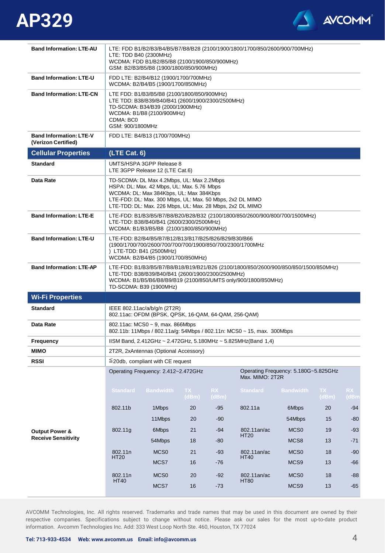



| <b>Band Information: LTE-AU</b>                       | LTE: FDD B1/B2/B3/B4/B5/B7/B8/B28 (2100/1900/1800/1700/850/2600/900/700MHz)<br>LTE: TDD B40 (2300MHz)<br>WCDMA: FDD B1/B2/B5/B8 (2100/1900/850/900MHz)<br>GSM: B2/B3/B5/B8 (1900/1800/850/900MHz)                                                            |                                        |               |             |                                                         |                  |              |            |
|-------------------------------------------------------|--------------------------------------------------------------------------------------------------------------------------------------------------------------------------------------------------------------------------------------------------------------|----------------------------------------|---------------|-------------|---------------------------------------------------------|------------------|--------------|------------|
| <b>Band Information: LTE-U</b>                        | FDD LTE: B2/B4/B12 (1900/1700/700MHz)<br>WCDMA: B2/B4/B5 (1900/1700/850MHz)                                                                                                                                                                                  |                                        |               |             |                                                         |                  |              |            |
| <b>Band Information: LTE-CN</b>                       | LTE FDD: B1/B3/B5/B8 (2100/1800/850/900MHz)<br>LTE TDD: B38/B39/B40/B41 (2600/1900/2300/2500MHz)<br>TD-SCDMA: B34/B39 (2000/1900MHz)<br>WCDMA: B1/B8 (2100/900MHz)<br>CDMA: BC0<br>GSM: 900/1800MHz                                                          |                                        |               |             |                                                         |                  |              |            |
| <b>Band Information: LTE-V</b><br>(Verizon Certified) | FDD LTE: B4/B13 (1700/700MHz)                                                                                                                                                                                                                                |                                        |               |             |                                                         |                  |              |            |
| <b>Cellular Properties</b>                            | (LTE Cat. 6)                                                                                                                                                                                                                                                 |                                        |               |             |                                                         |                  |              |            |
| <b>Standard</b>                                       | UMTS/HSPA 3GPP Release 8<br>LTE 3GPP Release 12 (LTE Cat.6)                                                                                                                                                                                                  |                                        |               |             |                                                         |                  |              |            |
| Data Rate                                             | TD-SCDMA: DL Max 4.2Mbps, UL: Max 2.2Mbps<br>HSPA: DL: Max. 42 Mbps, UL: Max. 5.76 Mbps<br>WCDMA: DL: Max 384Kbps, UL: Max 384Kbps<br>LTE-FDD: DL: Max. 300 Mbps, UL: Max. 50 Mbps, 2x2 DL MIMO<br>LTE-TDD: DL: Max. 226 Mbps, UL: Max. 28 Mbps, 2x2 DL MIMO |                                        |               |             |                                                         |                  |              |            |
| <b>Band Information: LTE-E</b>                        | LTE-FDD: B1/B3/B5/B7/B8/B20/B28/B32 (2100/1800/850/2600/900/800/700/1500MHz)<br>LTE-TDD: B38/B40/B41 (2600/2300/2500MHz)<br>WCDMA: B1/B3/B5/B8 (2100/1800/850/900MHz)                                                                                        |                                        |               |             |                                                         |                  |              |            |
| <b>Band Information: LTE-U</b>                        | LTE-FDD: B2/B4/B5/B7/B12/B13/B17/B25/B26/B29/B30/B66<br>(1900/1700/700/2600/700/700/700/1900/850/700/2300/1700MHz<br>) LTE-TDD: B41 (2500MHz)<br>WCDMA: B2/B4/B5 (1900/1700/850MHz)                                                                          |                                        |               |             |                                                         |                  |              |            |
| <b>Band Information: LTE-AP</b>                       | LTE-FDD: B1/B3/B5/B7/B8/B18/B19/B21/B26 (2100/1800/850/2600/900/850/850/1500/850MHz)<br>LTE-TDD: B38/B39/B40/B41 (2600/1900/2300/2500MHz)<br>WCDMA: B1/B5/B6/B8/B9/B19 (2100/850/UMTS only/900/1800/850MHz)<br>TD-SCDMA: B39 (1900MHz)                       |                                        |               |             |                                                         |                  |              |            |
| <b>Wi-Fi Properties</b>                               |                                                                                                                                                                                                                                                              |                                        |               |             |                                                         |                  |              |            |
| <b>Standard</b>                                       | IEEE 802.11ac/a/b/g/n (2T2R)<br>802.11ac: OFDM (BPSK, QPSK, 16-QAM, 64-QAM, 256-QAM)                                                                                                                                                                         |                                        |               |             |                                                         |                  |              |            |
| Data Rate                                             | 802.11ac: MCS0 ~ 9, max. 866Mbps<br>802.11b: 11Mbps / 802.11a/g: 54Mbps / 802.11n: MCS0 ~ 15, max. 300Mbps                                                                                                                                                   |                                        |               |             |                                                         |                  |              |            |
| <b>Frequency</b>                                      | IISM Band, 2.412GHz ~ 2.472GHz, 5.180MHz ~ 5.825MHz(Band 1,4)                                                                                                                                                                                                |                                        |               |             |                                                         |                  |              |            |
| <b>MIMO</b>                                           |                                                                                                                                                                                                                                                              | 2T2R, 2xAntennas (Optional Accessory)  |               |             |                                                         |                  |              |            |
| <b>RSSI</b>                                           |                                                                                                                                                                                                                                                              | $\leq$ 20db, compliant with CE request |               |             |                                                         |                  |              |            |
|                                                       |                                                                                                                                                                                                                                                              |                                        |               |             |                                                         |                  |              |            |
|                                                       | Operating Frequency: 2.412~2.472GHz                                                                                                                                                                                                                          |                                        |               |             | Operating Frequency: 5.180G~5.825GHz<br>Max. MIMO: 2T2R |                  |              |            |
|                                                       | <b>Standard</b>                                                                                                                                                                                                                                              | <b>Bandwidth</b>                       | TX =<br>(dBm) | RX<br>(dBm) | <b>Standard</b>                                         | <b>Bandwidth</b> | TX.<br>(dBm) | RX<br>(dBm |
|                                                       | 802.11b                                                                                                                                                                                                                                                      | 1Mbps                                  | 20            | -95         | 802.11a                                                 | 6Mbps            | 20           | -94        |
|                                                       |                                                                                                                                                                                                                                                              | 11Mbps                                 | 20            | $-90$       |                                                         | 54Mbps           | 15           | $-80$      |
| <b>Output Power &amp;</b>                             | 802.11g                                                                                                                                                                                                                                                      | 6Mbps                                  | 21            | $-94$       | 802.11an/ac                                             | MCS <sub>0</sub> | 19           | $-93$      |
| <b>Receive Sensitivity</b>                            |                                                                                                                                                                                                                                                              | 54Mbps                                 | 18            | $-80$       | HT20                                                    | MCS8             | 13           | $-71$      |
|                                                       | 802.11n                                                                                                                                                                                                                                                      | MCS <sub>0</sub>                       | 21            | $-93$       | 802.11an/ac                                             | MCS <sub>0</sub> | 18           | $-90$      |
|                                                       | HT20                                                                                                                                                                                                                                                         | MCS7                                   | 16            | -76         | HT40                                                    | MCS9             | 13           | -66        |
|                                                       | 802.11n                                                                                                                                                                                                                                                      | MCS <sub>0</sub>                       | 20            | $-92$       | 802.11an/ac                                             | MCS <sub>0</sub> | 18           | $-88$      |
|                                                       | <b>HT40</b>                                                                                                                                                                                                                                                  | MCS7                                   | 16            | -73         | <b>HT80</b>                                             | MCS9             | 13           | $-65$      |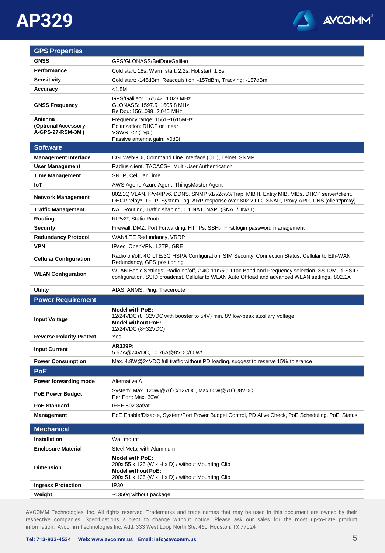

| <b>GPS Properties</b>                               |                                                                                                                                                                                                      |
|-----------------------------------------------------|------------------------------------------------------------------------------------------------------------------------------------------------------------------------------------------------------|
| <b>GNSS</b>                                         | GPS/GLONASS/BeiDou/Galileo                                                                                                                                                                           |
| <b>Performance</b>                                  | Cold start: 18s, Warm start: 2.2s, Hot start: 1.8s                                                                                                                                                   |
| <b>Sensitivity</b>                                  | Cold start: -146dBm, Reacquisition: -157dBm, Tracking: -157dBm                                                                                                                                       |
| <b>Accuracy</b>                                     | < 1.5M                                                                                                                                                                                               |
| <b>GNSS Frequency</b>                               | GPS/Galileo: 1575.42±1.023 MHz<br>GLONASS: 1597.5~1605.8 MHz<br>BeiDou: 1561.098±2.046 MHz                                                                                                           |
| Antenna<br>(Optional Accessory-<br>A-GPS-27-RSM-3M) | Frequency range: 1561~1615MHz<br>Polarization: RHCP or linear<br>VSWR: < 2(Typ.)<br>Passive antenna gain: > 0dBi                                                                                     |
| <b>Software</b>                                     |                                                                                                                                                                                                      |
| <b>Management Interface</b>                         | CGI WebGUI, Command Line Interface (CLI), Telnet, SNMP                                                                                                                                               |
| <b>User Management</b>                              | Radius client, TACACS+, Multi-User Authentication                                                                                                                                                    |
| <b>Time Management</b>                              | <b>SNTP. Cellular Time</b>                                                                                                                                                                           |
| <b>IoT</b>                                          | AWS Agent, Azure Agent, ThingsMaster Agent                                                                                                                                                           |
| <b>Network Management</b>                           | 802.1Q VLAN, IPv4/IPv6, DDNS, SNMP v1/v2c/v3/Trap, MIB II, Entity MIB, MIBs, DHCP server/client,<br>DHCP relay*, TFTP, System Log, ARP response over 802.2 LLC SNAP, Proxy ARP, DNS (client/proxy)   |
| <b>Traffic Management</b>                           | NAT Routing, Traffic shaping, 1:1 NAT, NAPT(SNAT/DNAT)                                                                                                                                               |
| Routing                                             | RIPv2*, Static Route                                                                                                                                                                                 |
| <b>Security</b>                                     | Firewall, DMZ, Port Forwarding, HTTPs, SSH, First login password management                                                                                                                          |
| <b>Redundancy Protocol</b>                          | <b>WAN/LTE Redundancy, VRRP</b>                                                                                                                                                                      |
| <b>VPN</b>                                          | IPsec, OpenVPN, L2TP, GRE                                                                                                                                                                            |
| <b>Cellular Configuration</b>                       | Radio on/off, 4G LTE/3G HSPA Configuration, SIM Security, Connection Status, Cellular to Eth-WAN<br>Redundancy, GPS positioning                                                                      |
| <b>WLAN Configuration</b>                           | WLAN Basic Settings: Radio on/off, 2.4G 11n/5G 11ac Band and Frequency selection, SSID/Multi-SSID<br>configuration, SSID broadcast, Cellular to WLAN Auto Offload and advanced WLAN settings, 802.1X |
| <b>Utility</b>                                      | AIAS, ANMS, Ping, Traceroute                                                                                                                                                                         |
| <b>Power Requirement</b>                            |                                                                                                                                                                                                      |
| <b>Input Voltage</b>                                | <b>Model with PoE:</b><br>12/24VDC (8~32VDC with booster to 54V) min. 8V low-peak auxiliary voltage<br><b>Model without PoE:</b><br>12/24VDC (8~32VDC)                                               |
| <b>Reverse Polarity Protect</b>                     | Yes                                                                                                                                                                                                  |
| <b>Input Current</b>                                | AR329P:<br>5.67A@24VDC, 10.76A@8VDC/60W\                                                                                                                                                             |
| <b>Power Consumption</b>                            | Max. 4.8W@24VDC full traffic without PD loading, suggest to reserve 15% tolerance                                                                                                                    |
| PoE                                                 |                                                                                                                                                                                                      |
| Power forwarding mode                               | Alternative A                                                                                                                                                                                        |
| <b>PoE Power Budget</b>                             | System: Max. 120W@70°C/12VDC, Max.60W@70°C/8VDC<br>Per Port: Max. 30W                                                                                                                                |
| <b>PoE Standard</b>                                 | IEEE 802.3af/at                                                                                                                                                                                      |
| <b>Management</b>                                   | PoE Enable/Disable, System/Port Power Budget Control, PD Alive Check, PoE Scheduling, PoE Status                                                                                                     |
| <b>Mechanical</b>                                   |                                                                                                                                                                                                      |
| <b>Installation</b>                                 | Wall mount                                                                                                                                                                                           |
| <b>Enclosure Material</b>                           | Steel Metal with Aluminum                                                                                                                                                                            |
| <b>Dimension</b>                                    | Model with PoE:<br>200x 55 x 126 (W x H x D) / without Mounting Clip<br><b>Model without PoE:</b><br>200x 51 x 126 (W x H x D) / without Mounting Clip                                               |
| <b>Ingress Protection</b>                           | IP30                                                                                                                                                                                                 |
| Weight                                              | ~1350g without package                                                                                                                                                                               |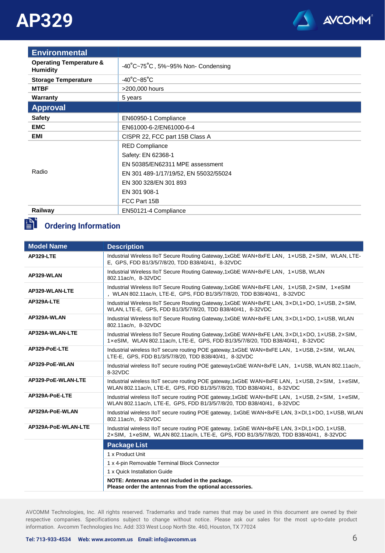

| <b>Environmental</b>                                  |                                       |  |  |
|-------------------------------------------------------|---------------------------------------|--|--|
| <b>Operating Temperature &amp;</b><br><b>Humidity</b> | -40°C~75°C, 5%~95% Non- Condensing    |  |  |
| <b>Storage Temperature</b>                            | $-40^{\circ}$ C $-85^{\circ}$ C       |  |  |
| <b>MTBF</b>                                           | >200,000 hours                        |  |  |
| Warranty                                              | 5 years                               |  |  |
| Approval                                              |                                       |  |  |
| <b>Safety</b>                                         | EN60950-1 Compliance                  |  |  |
| <b>EMC</b>                                            | EN61000-6-2/EN61000-6-4               |  |  |
| EMI                                                   | CISPR 22, FCC part 15B Class A        |  |  |
|                                                       | <b>RED Compliance</b>                 |  |  |
|                                                       | Safety: EN 62368-1                    |  |  |
|                                                       | EN 50385/EN62311 MPE assessment       |  |  |
| Radio                                                 | EN 301 489-1/17/19/52, EN 55032/55024 |  |  |
|                                                       | EN 300 328/EN 301 893                 |  |  |
|                                                       | EN 301 908-1                          |  |  |
|                                                       | FCC Part 15B                          |  |  |
| Railway                                               | EN50121-4 Compliance                  |  |  |

### **D** Ordering Information

| <b>Model Name</b>   | <b>Description</b>                                                                                                                                                                  |
|---------------------|-------------------------------------------------------------------------------------------------------------------------------------------------------------------------------------|
| AP329-LTE           | Industrial Wireless IIoT Secure Routing Gateway, 1xGbE WAN+8xFE LAN, 1×USB, 2×SIM, WLAN, LTE-<br>E, GPS, FDD B1/3/5/7/8/20, TDD B38/40/41, 8-32VDC                                  |
| AP329-WLAN          | Industrial Wireless IIoT Secure Routing Gateway, 1xGbE WAN+8xFE LAN, 1xUSB, WLAN<br>802.11ac/n, 8-32VDC                                                                             |
| AP329-WLAN-LTE      | Industrial Wireless IIoT Secure Routing Gateway, 1xGbE WAN+8xFE LAN, 1xUSB, 2xSIM, 1xeSIM<br>, WLAN 802.11ac/n, LTE-E, GPS, FDD B1/3/5/7/8/20, TDD B38/40/41, 8-32VDC               |
| AP329A-LTE          | Industrial Wireless IIoT Secure Routing Gateway, 1xGbE WAN+8xFE LAN, 3×DI, 1×DO, 1×USB, 2×SIM,<br>WLAN, LTE-E, GPS, FDD B1/3/5/7/8/20, TDD B38/40/41, 8-32VDC                       |
| AP329A-WLAN         | Industrial Wireless IIoT Secure Routing Gateway, 1xGbE WAN+8xFE LAN, 3×DI, 1×DO, 1×USB, WLAN<br>802.11ac/n, 8-32VDC                                                                 |
| AP329A-WLAN-LTE     | Industrial Wireless IIoT Secure Routing Gateway, 1xGbE WAN+8xFE LAN, 3×DI, 1×DO, 1×USB, 2×SIM,<br>1×eSIM, WLAN 802.11ac/n, LTE-E, GPS, FDD B1/3/5/7/8/20, TDD B38/40/41, 8-32VDC    |
| AP329-PoE-LTE       | Industrial wireless IIoT secure routing POE gateway, 1xGbE WAN+8xFE LAN, 1×USB, 2×SIM, WLAN,<br>LTE-E, GPS, FDD B1/3/5/7/8/20, TDD B38/40/41, 8-32VDC                               |
| AP329-PoE-WLAN      | Industrial wireless IIoT secure routing POE gateway1xGbE WAN+8xFE LAN, 1×USB, WLAN 802.11ac/n,<br>8-32VDC                                                                           |
| AP329-PoE-WLAN-LTE  | Industrial wireless IIoT secure routing POE gateway, 1xGbE WAN+8xFE LAN, 1xUSB, 2xSIM, 1xeSIM,<br>WLAN 802.11ac/n, LTE-E, GPS, FDD B1/3/5/7/8/20, TDD B38/40/41, 8-32VDC            |
| AP329A-PoE-LTE      | Industrial wireless IIoT secure routing POE gateway, 1xGbE WAN+8xFE LAN, 1×USB, 2×SIM, 1×eSIM,<br>WLAN 802.11ac/n, LTE-E, GPS, FDD B1/3/5/7/8/20, TDD B38/40/41, 8-32VDC            |
| AP329A-PoE-WLAN     | Industrial wireless IIoT secure routing POE gateway, 1xGbE WAN+8xFE LAN, 3×DI,1×DO, 1×USB, WLAN<br>802.11ac/n, 8-32VDC                                                              |
| AP329A-PoE-WLAN-LTE | Industrial wireless IIoT secure routing POE gateway, 1xGbE WAN+8xFE LAN, 3×DI,1×DO, 1×USB,<br>2×SIM, 1×eSIM, WLAN 802.11ac/n, LTE-E, GPS, FDD B1/3/5/7/8/20, TDD B38/40/41, 8-32VDC |
|                     | <b>Package List</b>                                                                                                                                                                 |
|                     | 1 x Product Unit                                                                                                                                                                    |
|                     | 1 x 4-pin Removable Terminal Block Connector                                                                                                                                        |
|                     | 1 x Quick Installation Guide                                                                                                                                                        |
|                     | NOTE: Antennas are not included in the package.<br>Please order the antennas from the optional accessories.                                                                         |